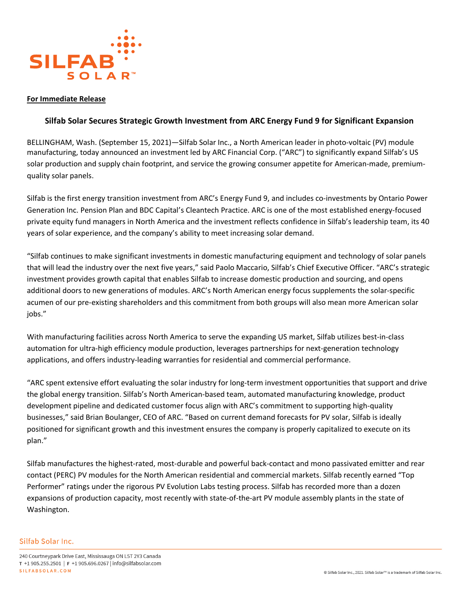

## **For Immediate Release**

# **Silfab Solar Secures Strategic Growth Investment from ARC Energy Fund 9 for Significant Expansion**

BELLINGHAM, Wash. (September 15, 2021)—Silfab Solar Inc., a North American leader in photo-voltaic (PV) module manufacturing, today announced an investment led by ARC Financial Corp. ("ARC") to significantly expand Silfab's US solar production and supply chain footprint, and service the growing consumer appetite for American-made, premiumquality solar panels.

Silfab is the first energy transition investment from ARC's Energy Fund 9, and includes co-investments by Ontario Power Generation Inc. Pension Plan and BDC Capital's Cleantech Practice. ARC is one of the most established energy-focused private equity fund managers in North America and the investment reflects confidence in Silfab's leadership team, its 40 years of solar experience, and the company's ability to meet increasing solar demand.

"Silfab continues to make significant investments in domestic manufacturing equipment and technology of solar panels that will lead the industry over the next five years," said Paolo Maccario, Silfab's Chief Executive Officer. "ARC's strategic investment provides growth capital that enables Silfab to increase domestic production and sourcing, and opens additional doors to new generations of modules. ARC's North American energy focus supplements the solar-specific acumen of our pre-existing shareholders and this commitment from both groups will also mean more American solar jobs."

With manufacturing facilities across North America to serve the expanding US market, Silfab utilizes best-in-class automation for ultra-high efficiency module production, leverages partnerships for next-generation technology applications, and offers industry-leading warranties for residential and commercial performance.

"ARC spent extensive effort evaluating the solar industry for long-term investment opportunities that support and drive the global energy transition. Silfab's North American-based team, automated manufacturing knowledge, product development pipeline and dedicated customer focus align with ARC's commitment to supporting high-quality businesses," said Brian Boulanger, CEO of ARC. "Based on current demand forecasts for PV solar, Silfab is ideally positioned for significant growth and this investment ensures the company is properly capitalized to execute on its plan."

Silfab manufactures the highest-rated, most-durable and powerful back-contact and mono passivated emitter and rear contact (PERC) PV modules for the North American residential and commercial markets. Silfab recently earned "Top Performer" ratings under the rigorous PV Evolution Labs testing process. Silfab has recorded more than a dozen expansions of production capacity, most recently with state-of-the-art PV module assembly plants in the state of Washington.

#### Silfab Solar Inc.